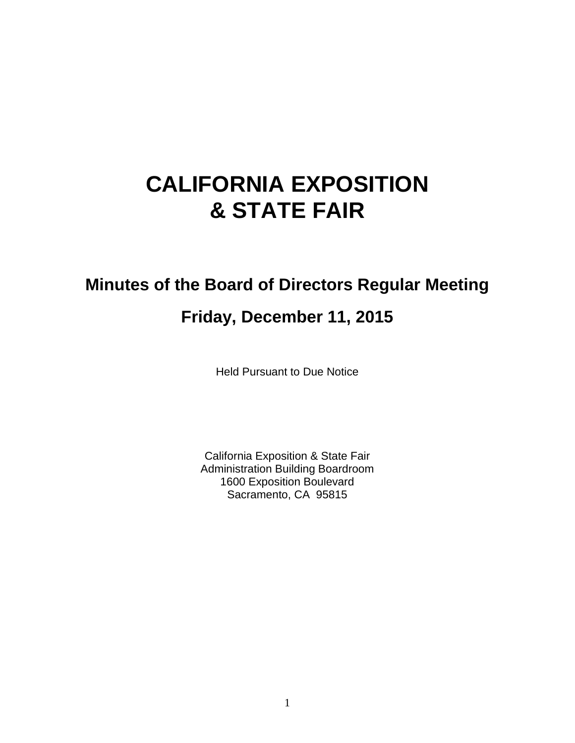# **CALIFORNIA EXPOSITION & STATE FAIR**

# **Minutes of the Board of Directors Regular Meeting**

# **Friday, December 11, 2015**

Held Pursuant to Due Notice

California Exposition & State Fair Administration Building Boardroom 1600 Exposition Boulevard Sacramento, CA 95815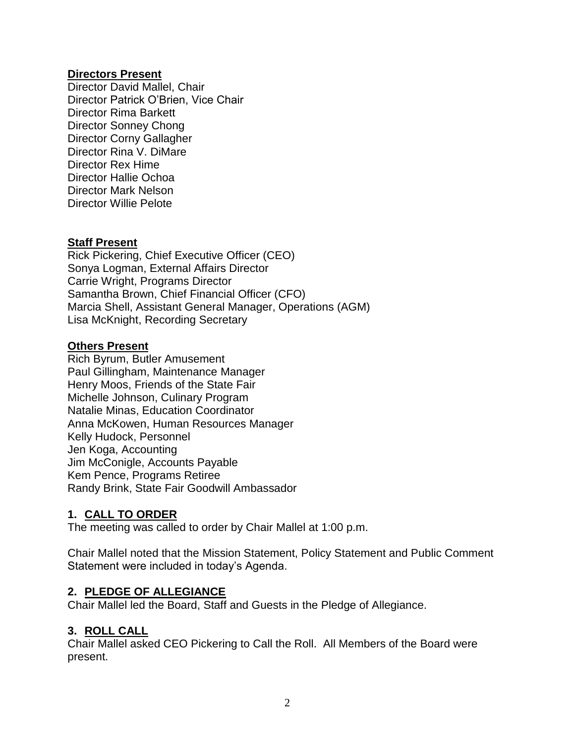#### **Directors Present**

Director David Mallel, Chair Director Patrick O'Brien, Vice Chair Director Rima Barkett Director Sonney Chong Director Corny Gallagher Director Rina V. DiMare Director Rex Hime Director Hallie Ochoa Director Mark Nelson Director Willie Pelote

#### **Staff Present**

Rick Pickering, Chief Executive Officer (CEO) Sonya Logman, External Affairs Director Carrie Wright, Programs Director Samantha Brown, Chief Financial Officer (CFO) Marcia Shell, Assistant General Manager, Operations (AGM) Lisa McKnight, Recording Secretary

#### **Others Present**

Rich Byrum, Butler Amusement Paul Gillingham, Maintenance Manager Henry Moos, Friends of the State Fair Michelle Johnson, Culinary Program Natalie Minas, Education Coordinator Anna McKowen, Human Resources Manager Kelly Hudock, Personnel Jen Koga, Accounting Jim McConigle, Accounts Payable Kem Pence, Programs Retiree Randy Brink, State Fair Goodwill Ambassador

#### **1. CALL TO ORDER**

The meeting was called to order by Chair Mallel at 1:00 p.m.

Chair Mallel noted that the Mission Statement, Policy Statement and Public Comment Statement were included in today's Agenda.

#### **2. PLEDGE OF ALLEGIANCE**

Chair Mallel led the Board, Staff and Guests in the Pledge of Allegiance.

#### **3. ROLL CALL**

Chair Mallel asked CEO Pickering to Call the Roll. All Members of the Board were present.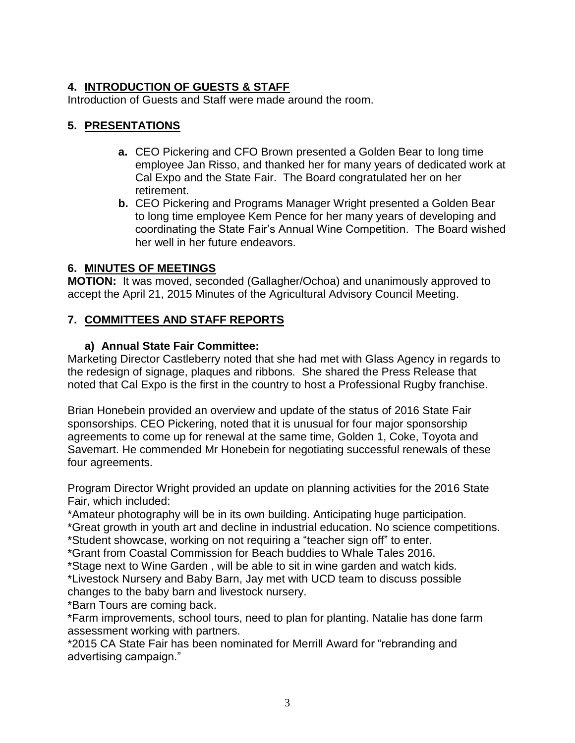# **4. INTRODUCTION OF GUESTS & STAFF**

Introduction of Guests and Staff were made around the room.

# **5. PRESENTATIONS**

- **a.** CEO Pickering and CFO Brown presented a Golden Bear to long time employee Jan Risso, and thanked her for many years of dedicated work at Cal Expo and the State Fair. The Board congratulated her on her retirement.
- **b.** CEO Pickering and Programs Manager Wright presented a Golden Bear to long time employee Kem Pence for her many years of developing and coordinating the State Fair's Annual Wine Competition. The Board wished her well in her future endeavors.

# **6. MINUTES OF MEETINGS**

**MOTION:** It was moved, seconded (Gallagher/Ochoa) and unanimously approved to accept the April 21, 2015 Minutes of the Agricultural Advisory Council Meeting.

# **7. COMMITTEES AND STAFF REPORTS**

# **a) Annual State Fair Committee:**

Marketing Director Castleberry noted that she had met with Glass Agency in regards to the redesign of signage, plaques and ribbons. She shared the Press Release that noted that Cal Expo is the first in the country to host a Professional Rugby franchise.

Brian Honebein provided an overview and update of the status of 2016 State Fair sponsorships. CEO Pickering, noted that it is unusual for four major sponsorship agreements to come up for renewal at the same time, Golden 1, Coke, Toyota and Savemart. He commended Mr Honebein for negotiating successful renewals of these four agreements.

Program Director Wright provided an update on planning activities for the 2016 State Fair, which included:

\*Amateur photography will be in its own building. Anticipating huge participation.

\*Great growth in youth art and decline in industrial education. No science competitions.

\*Student showcase, working on not requiring a "teacher sign off" to enter.

\*Grant from Coastal Commission for Beach buddies to Whale Tales 2016.

\*Stage next to Wine Garden , will be able to sit in wine garden and watch kids.

\*Livestock Nursery and Baby Barn, Jay met with UCD team to discuss possible changes to the baby barn and livestock nursery.

\*Barn Tours are coming back.

\*Farm improvements, school tours, need to plan for planting. Natalie has done farm assessment working with partners.

\*2015 CA State Fair has been nominated for Merrill Award for "rebranding and advertising campaign."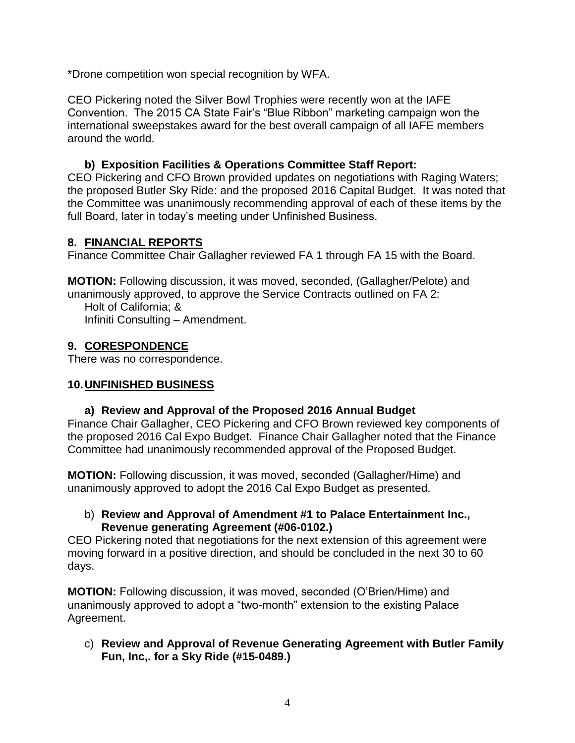\*Drone competition won special recognition by WFA.

CEO Pickering noted the Silver Bowl Trophies were recently won at the IAFE Convention. The 2015 CA State Fair's "Blue Ribbon" marketing campaign won the international sweepstakes award for the best overall campaign of all IAFE members around the world.

### **b) Exposition Facilities & Operations Committee Staff Report:**

CEO Pickering and CFO Brown provided updates on negotiations with Raging Waters; the proposed Butler Sky Ride: and the proposed 2016 Capital Budget. It was noted that the Committee was unanimously recommending approval of each of these items by the full Board, later in today's meeting under Unfinished Business.

# **8. FINANCIAL REPORTS**

Finance Committee Chair Gallagher reviewed FA 1 through FA 15 with the Board.

**MOTION:** Following discussion, it was moved, seconded, (Gallagher/Pelote) and unanimously approved, to approve the Service Contracts outlined on FA 2: Holt of California; & Infiniti Consulting – Amendment.

# **9. CORESPONDENCE**

There was no correspondence.

#### **10.UNFINISHED BUSINESS**

#### **a) Review and Approval of the Proposed 2016 Annual Budget**

Finance Chair Gallagher, CEO Pickering and CFO Brown reviewed key components of the proposed 2016 Cal Expo Budget. Finance Chair Gallagher noted that the Finance Committee had unanimously recommended approval of the Proposed Budget.

**MOTION:** Following discussion, it was moved, seconded (Gallagher/Hime) and unanimously approved to adopt the 2016 Cal Expo Budget as presented.

#### b) **Review and Approval of Amendment #1 to Palace Entertainment Inc., Revenue generating Agreement (#06-0102.)**

CEO Pickering noted that negotiations for the next extension of this agreement were moving forward in a positive direction, and should be concluded in the next 30 to 60 days.

**MOTION:** Following discussion, it was moved, seconded (O'Brien/Hime) and unanimously approved to adopt a "two-month" extension to the existing Palace Agreement.

c) **Review and Approval of Revenue Generating Agreement with Butler Family Fun, Inc,. for a Sky Ride (#15-0489.)**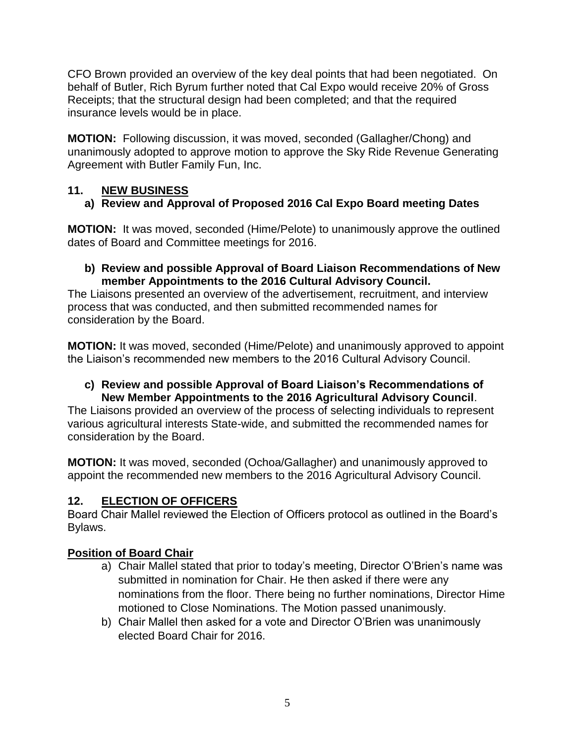CFO Brown provided an overview of the key deal points that had been negotiated. On behalf of Butler, Rich Byrum further noted that Cal Expo would receive 20% of Gross Receipts; that the structural design had been completed; and that the required insurance levels would be in place.

**MOTION:** Following discussion, it was moved, seconded (Gallagher/Chong) and unanimously adopted to approve motion to approve the Sky Ride Revenue Generating Agreement with Butler Family Fun, Inc.

# **11. NEW BUSINESS**

# **a) Review and Approval of Proposed 2016 Cal Expo Board meeting Dates**

**MOTION:** It was moved, seconded (Hime/Pelote) to unanimously approve the outlined dates of Board and Committee meetings for 2016.

#### **b) Review and possible Approval of Board Liaison Recommendations of New member Appointments to the 2016 Cultural Advisory Council.**

The Liaisons presented an overview of the advertisement, recruitment, and interview process that was conducted, and then submitted recommended names for consideration by the Board.

**MOTION:** It was moved, seconded (Hime/Pelote) and unanimously approved to appoint the Liaison's recommended new members to the 2016 Cultural Advisory Council.

#### **c) Review and possible Approval of Board Liaison's Recommendations of New Member Appointments to the 2016 Agricultural Advisory Council**.

The Liaisons provided an overview of the process of selecting individuals to represent various agricultural interests State-wide, and submitted the recommended names for consideration by the Board.

**MOTION:** It was moved, seconded (Ochoa/Gallagher) and unanimously approved to appoint the recommended new members to the 2016 Agricultural Advisory Council.

# **12. ELECTION OF OFFICERS**

Board Chair Mallel reviewed the Election of Officers protocol as outlined in the Board's Bylaws.

# **Position of Board Chair**

- a) Chair Mallel stated that prior to today's meeting, Director O'Brien's name was submitted in nomination for Chair. He then asked if there were any nominations from the floor. There being no further nominations, Director Hime motioned to Close Nominations. The Motion passed unanimously.
- b) Chair Mallel then asked for a vote and Director O'Brien was unanimously elected Board Chair for 2016.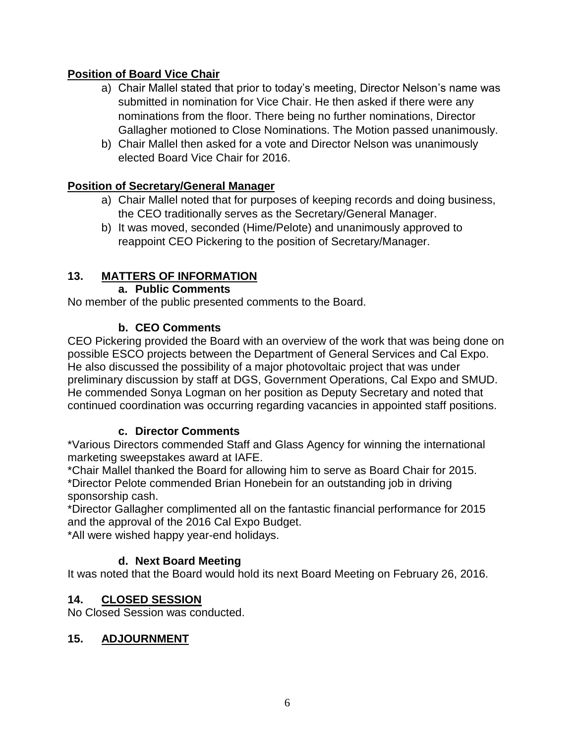# **Position of Board Vice Chair**

- a) Chair Mallel stated that prior to today's meeting, Director Nelson's name was submitted in nomination for Vice Chair. He then asked if there were any nominations from the floor. There being no further nominations, Director Gallagher motioned to Close Nominations. The Motion passed unanimously.
- b) Chair Mallel then asked for a vote and Director Nelson was unanimously elected Board Vice Chair for 2016.

#### **Position of Secretary/General Manager**

- a) Chair Mallel noted that for purposes of keeping records and doing business, the CEO traditionally serves as the Secretary/General Manager.
- b) It was moved, seconded (Hime/Pelote) and unanimously approved to reappoint CEO Pickering to the position of Secretary/Manager.

# **13. MATTERS OF INFORMATION**

#### **a. Public Comments**

No member of the public presented comments to the Board.

# **b. CEO Comments**

CEO Pickering provided the Board with an overview of the work that was being done on possible ESCO projects between the Department of General Services and Cal Expo. He also discussed the possibility of a major photovoltaic project that was under preliminary discussion by staff at DGS, Government Operations, Cal Expo and SMUD. He commended Sonya Logman on her position as Deputy Secretary and noted that continued coordination was occurring regarding vacancies in appointed staff positions.

#### **c. Director Comments**

\*Various Directors commended Staff and Glass Agency for winning the international marketing sweepstakes award at IAFE.

\*Chair Mallel thanked the Board for allowing him to serve as Board Chair for 2015.

\*Director Pelote commended Brian Honebein for an outstanding job in driving sponsorship cash.

\*Director Gallagher complimented all on the fantastic financial performance for 2015 and the approval of the 2016 Cal Expo Budget.

\*All were wished happy year-end holidays.

# **d. Next Board Meeting**

It was noted that the Board would hold its next Board Meeting on February 26, 2016.

#### **14. CLOSED SESSION**

No Closed Session was conducted.

#### **15. ADJOURNMENT**